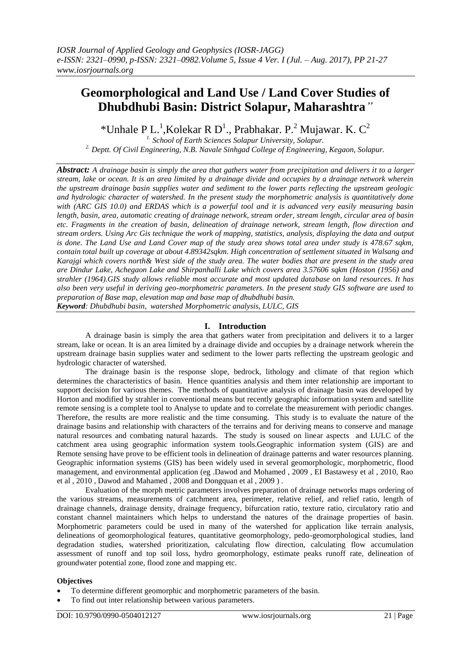# **Geomorphological and Land Use / Land Cover Studies of Dhubdhubi Basin: District Solapur, Maharashtra***"*

\*Unhale P L.<sup>1</sup>, Kolekar R D<sup>1</sup>., Prabhakar. P.<sup>2</sup> Mujawar. K. C<sup>2</sup>

*1. School of Earth Sciences Solapur University, Solapur.*

*2. Deptt. Of Civil Engineering, N.B. Navale Sinhgad College of Engineering, Kegaon, Solapur.*

*Abstract: A drainage basin is simply the area that gathers water from precipitation and delivers it to a larger stream, lake or ocean. It is an area limited by a drainage divide and occupies by a drainage network wherein the upstream drainage basin supplies water and sediment to the lower parts reflecting the upstream geologic and hydrologic character of watershed. In the present study the morphometric analysis is quantitatively done with (ARC GIS 10.0) and ERDAS which is a powerful tool and it is advanced very easily measuring basin length, basin, area, automatic creating of drainage network, stream order, stream length, circular area of basin etc. Fragments in the creation of basin, delineation of drainage network, stream length, flow direction and stream orders. Using Arc Gis technique the work of mapping, statistics, analysis, displaying the data and output is done. The Land Use and Land Cover map of the study area shows total area under study is 478.67 sqkm, contain total built up coverage at about 4.89342sqkm. High concentration of settlement situated in Walsang and Karajgi which covers north& West side of the study area. The water bodies that are present in the study area are Dindur Lake, Achegaon Lake and Shirpanhalli Lake which covers area 3.57606 sqkm (Hoston (1956) and strahler (1964).GIS study allows reliable most accurate and most updated database on land resources. It has also been very useful in deriving geo-morphometric parameters. In the present study GIS software are used to preparation of Base map, elevation map and base map of dhubdhubi basin. Keyword: Dhubdhubi basin, watershed Morphometric analysis, LULC, GIS*

# **I. Introduction**

A drainage basin is simply the area that gathers water from precipitation and delivers it to a larger stream, lake or ocean. It is an area limited by a drainage divide and occupies by a drainage network wherein the upstream drainage basin supplies water and sediment to the lower parts reflecting the upstream geologic and hydrologic character of watershed.

The drainage basin is the response slope, bedrock, lithology and climate of that region which determines the characteristics of basin. Hence quantities analysis and them inter relationship are important to support decision for various themes. The methods of quantitative analysis of drainage basin was developed by Horton and modified by strahler in conventional means but recently geographic information system and satellite remote sensing is a complete tool to Analyse to update and to correlate the measurement with periodic changes. Therefore, the results are more realistic and the time consuming. This study is to evaluate the nature of the drainage basins and relationship with characters of the terrains and for deriving means to conserve and manage natural resources and combating natural hazards. The study is soused on linear aspects and LULC of the catchment area using geographic information system tools.Geographic information system (GIS) are and Remote sensing have prove to be efficient tools in delineation of drainage patterns and water resources planning. Geographic information systems (GIS) has been widely used in several geomorphologic, morphometric, flood management, and environmental application (eg .Dawod and Mohamed , 2009 , EI Bastawesy et al , 2010, Rao et al , 2010 , Dawod and Mahamed , 2008 and Dongquan et al , 2009 ) .

Evaluation of the morph metric parameters involves preparation of drainage networks maps ordering of the various streams, measurements of catchment area, perimeter, relative relief, and relief ratio, length of drainage channels, drainage density, drainage frequency, bifurcation ratio, texture ratio, circulatory ratio and constant channel maintainers which helps to understand the natures of the drainage properties of basin. Morphometric parameters could be used in many of the watershed for application like terrain analysis, delineations of geomorphological features, quantitative geomorphology, pedo-geomorphological studies, land degradation studies, watershed prioritization, calculating flow direction, calculating flow accumulation assessment of runoff and top soil loss, hydro geomorphology, estimate peaks runoff rate, delineation of groundwater potential zone, flood zone and mapping etc.

## **Objectives**

- To determine different geomorphic and morphometric parameters of the basin.
- To find out inter relationship between various parameters.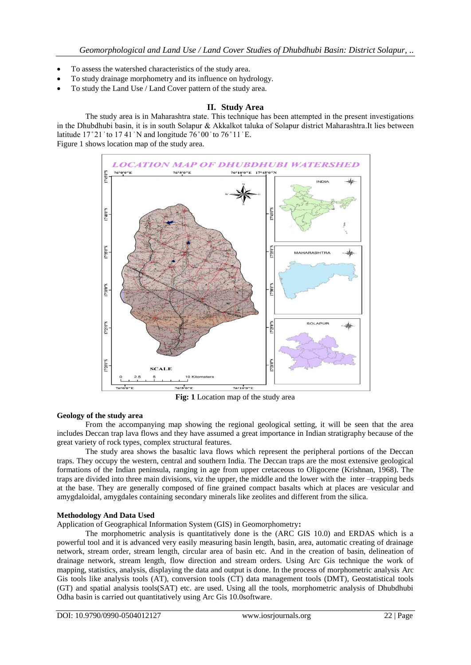- To assess the watershed characteristics of the study area.
- To study drainage morphometry and its influence on hydrology.
- To study the Land Use / Land Cover pattern of the study area.

## **II. Study Area**

The study area is in Maharashtra state. This technique has been attempted in the present investigations in the Dhubdhubi basin, it is in south Solapur & Akkalkot taluka of Solapur district Maharashtra. It lies between latitude  $17^{\circ}21'$  to  $17.41'$  N and longitude  $76^{\circ}00'$  to  $76^{\circ}11'$  E. Figure 1 shows location map of the study area.



**Fig: 1** Location map of the study area

## **Geology of the study area**

From the accompanying map showing the regional geological setting, it will be seen that the area includes Deccan trap lava flows and they have assumed a great importance in Indian stratigraphy because of the great variety of rock types, complex structural features.

The study area shows the basaltic lava flows which represent the peripheral portions of the Deccan traps. They occupy the western, central and southern India. The Deccan traps are the most extensive geological formations of the Indian peninsula, ranging in age from upper cretaceous to Oligocene (Krishnan, 1968). The traps are divided into three main divisions, viz the upper, the middle and the lower with the inter –trapping beds at the base. They are generally composed of fine grained compact basalts which at places are vesicular and amygdaloidal, amygdales containing secondary minerals like zeolites and different from the silica.

#### **Methodology And Data Used**

Application of Geographical Information System (GIS) in Geomorphometry**:**

The morphometric analysis is quantitatively done is the (ARC GIS 10.0) and ERDAS which is a powerful tool and it is advanced very easily measuring basin length, basin, area, automatic creating of drainage network, stream order, stream length, circular area of basin etc. And in the creation of basin, delineation of drainage network, stream length, flow direction and stream orders. Using Arc Gis technique the work of mapping, statistics, analysis, displaying the data and output is done. In the process of morphometric analysis Arc Gis tools like analysis tools (AT), conversion tools (CT) data management tools (DMT), Geostatistical tools (GT) and spatial analysis tools(SAT) etc. are used. Using all the tools, morphometric analysis of Dhubdhubi Odha basin is carried out quantitatively using Arc Gis 10.0software.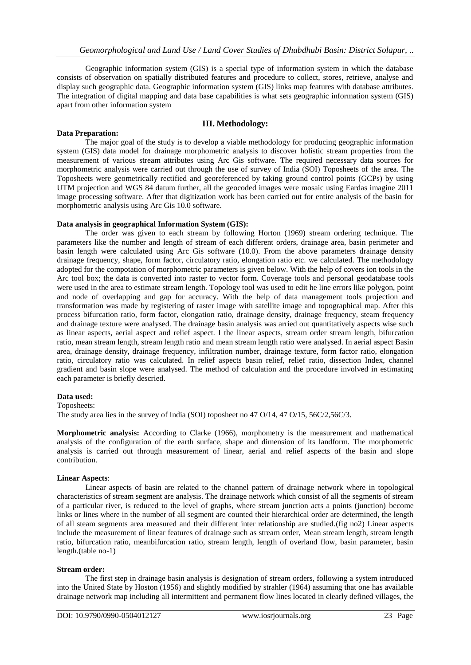Geographic information system (GIS) is a special type of information system in which the database consists of observation on spatially distributed features and procedure to collect, stores, retrieve, analyse and display such geographic data. Geographic information system (GIS) links map features with database attributes. The integration of digital mapping and data base capabilities is what sets geographic information system (GIS) apart from other information system

#### **III. Methodology:**

#### **Data Preparation:**

The major goal of the study is to develop a viable methodology for producing geographic information system (GIS) data model for drainage morphometric analysis to discover holistic stream properties from the measurement of various stream attributes using Arc Gis software. The required necessary data sources for morphometric analysis were carried out through the use of survey of India (SOI) Toposheets of the area. The Toposheets were geometrically rectified and georeferenced by taking ground control points (GCPs) by using UTM projection and WGS 84 datum further, all the geocoded images were mosaic using Eardas imagine 2011 image processing software. After that digitization work has been carried out for entire analysis of the basin for morphometric analysis using Arc Gis 10.0 software.

#### **Data analysis in geographical Information System (GIS):**

The order was given to each stream by following Horton (1969) stream ordering technique. The parameters like the number and length of stream of each different orders, drainage area, basin perimeter and basin length were calculated using Arc Gis software (10.0). From the above parameters drainage density drainage frequency, shape, form factor, circulatory ratio, elongation ratio etc. we calculated. The methodology adopted for the compotation of morphometric parameters is given below. With the help of covers ion tools in the Arc tool box; the data is converted into raster to vector form. Coverage tools and personal geodatabase tools were used in the area to estimate stream length. Topology tool was used to edit he line errors like polygon, point and node of overlapping and gap for accuracy. With the help of data management tools projection and transformation was made by registering of raster image with satellite image and topographical map. After this process bifurcation ratio, form factor, elongation ratio, drainage density, drainage frequency, steam frequency and drainage texture were analysed. The drainage basin analysis was arried out quantitatively aspects wise such as linear aspects, aerial aspect and relief aspect. I the linear aspects, stream order stream length, bifurcation ratio, mean stream length, stream length ratio and mean stream length ratio were analysed. In aerial aspect Basin area, drainage density, drainage frequency, infiltration number, drainage texture, form factor ratio, elongation ratio, circulatory ratio was calculated. In relief aspects basin relief, relief ratio, dissection Index, channel gradient and basin slope were analysed. The method of calculation and the procedure involved in estimating each parameter is briefly descried.

#### **Data used:**

Toposheets:

The study area lies in the survey of India (SOI) toposheet no 47 O/14, 47 O/15, 56C/2,56C/3.

**Morphometric analysis:** According to Clarke (1966), morphometry is the measurement and mathematical analysis of the configuration of the earth surface, shape and dimension of its landform. The morphometric analysis is carried out through measurement of linear, aerial and relief aspects of the basin and slope contribution.

#### **Linear Aspects**:

Linear aspects of basin are related to the channel pattern of drainage network where in topological characteristics of stream segment are analysis. The drainage network which consist of all the segments of stream of a particular river, is reduced to the level of graphs, where stream junction acts a points (junction) become links or lines where in the number of all segment are counted their hierarchical order are determined, the length of all steam segments area measured and their different inter relationship are studied.(fig no2) Linear aspects include the measurement of linear features of drainage such as stream order, Mean stream length, stream length ratio, bifurcation ratio, meanbifurcation ratio, stream length, length of overland flow, basin parameter, basin length.(table no-1)

#### **Stream order:**

The first step in drainage basin analysis is designation of stream orders, following a system introduced into the United State by Hoston (1956) and slightly modified by strahler (1964) assuming that one has available drainage network map including all intermittent and permanent flow lines located in clearly defined villages, the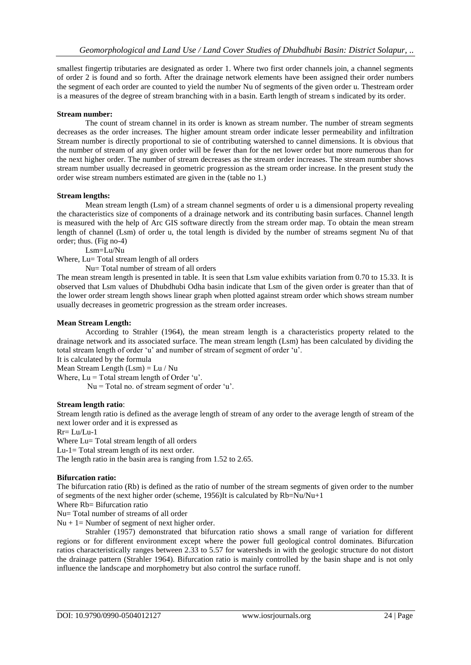smallest fingertip tributaries are designated as order 1. Where two first order channels join, a channel segments of order 2 is found and so forth. After the drainage network elements have been assigned their order numbers the segment of each order are counted to yield the number Nu of segments of the given order u. Thestream order is a measures of the degree of stream branching with in a basin. Earth length of stream s indicated by its order.

#### **Stream number:**

The count of stream channel in its order is known as stream number. The number of stream segments decreases as the order increases. The higher amount stream order indicate lesser permeability and infiltration Stream number is directly proportional to sie of contributing watershed to cannel dimensions. It is obvious that the number of stream of any given order will be fewer than for the net lower order but more numerous than for the next higher order. The number of stream decreases as the stream order increases. The stream number shows stream number usually decreased in geometric progression as the stream order increase. In the present study the order wise stream numbers estimated are given in the (table no 1.)

#### **Stream lengths:**

Mean stream length (Lsm) of a stream channel segments of order u is a dimensional property revealing the characteristics size of components of a drainage network and its contributing basin surfaces. Channel length is measured with the help of Arc GIS software directly from the stream order map. To obtain the mean stream length of channel (Lsm) of order u, the total length is divided by the number of streams segment Nu of that order; thus. (Fig no-4)

Lsm=Lu/Nu

Where, Lu= Total stream length of all orders

Nu= Total number of stream of all orders

The mean stream length is presented in table. It is seen that Lsm value exhibits variation from 0.70 to 15.33. It is observed that Lsm values of Dhubdhubi Odha basin indicate that Lsm of the given order is greater than that of the lower order stream length shows linear graph when plotted against stream order which shows stream number usually decreases in geometric progression as the stream order increases.

#### **Mean Stream Length:**

According to Strahler (1964), the mean stream length is a characteristics property related to the drainage network and its associated surface. The mean stream length (Lsm) has been calculated by dividing the total stream length of order 'u' and number of stream of segment of order 'u'.

It is calculated by the formula

Mean Stream Length (Lsm) = Lu / Nu

Where,  $Lu = Total stream length of Order 'u'.$ 

 $Nu = Total$  no. of stream segment of order 'u'.

#### **Stream length ratio**:

Stream length ratio is defined as the average length of stream of any order to the average length of stream of the next lower order and it is expressed as

 $Rr = Lu/Lu-1$ 

Where Lu= Total stream length of all orders

Lu-1= Total stream length of its next order.

The length ratio in the basin area is ranging from 1.52 to 2.65.

#### **Bifurcation ratio:**

The bifurcation ratio (Rb) is defined as the ratio of number of the stream segments of given order to the number of segments of the next higher order (scheme, 1956)It is calculated by Rb=Nu/Nu+1

Where Rb= Bifurcation ratio

Nu= Total number of streams of all order

 $Nu + 1 = Number of segment of next higher order.$ 

Strahler (1957) demonstrated that bifurcation ratio shows a small range of variation for different regions or for different environment except where the power full geological control dominates. Bifurcation ratios characteristically ranges between 2.33 to 5.57 for watersheds in with the geologic structure do not distort the drainage pattern (Strahler 1964). Bifurcation ratio is mainly controlled by the basin shape and is not only influence the landscape and morphometry but also control the surface runoff.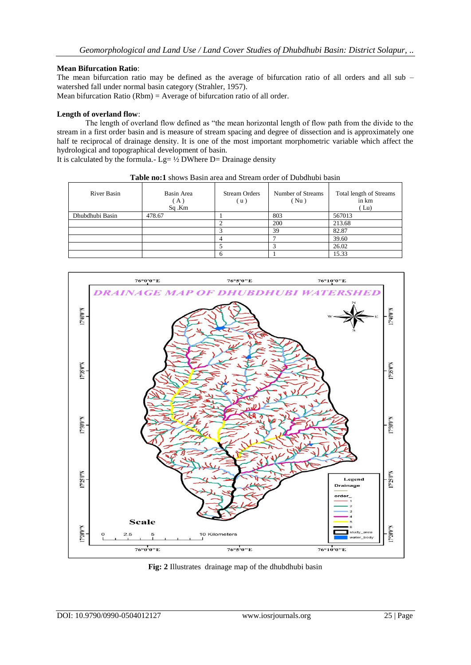## **Mean Bifurcation Ratio**:

The mean bifurcation ratio may be defined as the average of bifurcation ratio of all orders and all sub – watershed fall under normal basin category (Strahler, 1957).

Mean bifurcation Ratio (Rbm) = Average of bifurcation ratio of all order.

#### **Length of overland flow**:

The length of overland flow defined as "the mean horizontal length of flow path from the divide to the stream in a first order basin and is measure of stream spacing and degree of dissection and is approximately one half te reciprocal of drainage density. It is one of the most important morphometric variable which affect the hydrological and topographical development of basin.

It is calculated by the formula.-  $Lg= \frac{1}{2}DWhere D=Drainage density$ 

| <b>Table no:1</b> shows Basin area and Stream order of Dubdhubi basin |                           |                             |                           |                                          |  |  |  |  |  |  |
|-----------------------------------------------------------------------|---------------------------|-----------------------------|---------------------------|------------------------------------------|--|--|--|--|--|--|
| <b>River Basin</b>                                                    | Basin Area<br>A)<br>Sq.Km | <b>Stream Orders</b><br>(u) | Number of Streams<br>(Nu) | Total length of Streams<br>in km<br>(Lu) |  |  |  |  |  |  |
| Dhubdhubi Basin                                                       | 478.67                    |                             | 803                       | 567013                                   |  |  |  |  |  |  |
|                                                                       |                           |                             | 200                       | 213.68                                   |  |  |  |  |  |  |
|                                                                       |                           |                             | 39                        | 82.87                                    |  |  |  |  |  |  |
|                                                                       |                           |                             |                           | 39.60                                    |  |  |  |  |  |  |
|                                                                       |                           |                             |                           | 26.02                                    |  |  |  |  |  |  |
|                                                                       |                           |                             |                           | 15.33                                    |  |  |  |  |  |  |



**Fig: 2** Illustrates drainage map of the dhubdhubi basin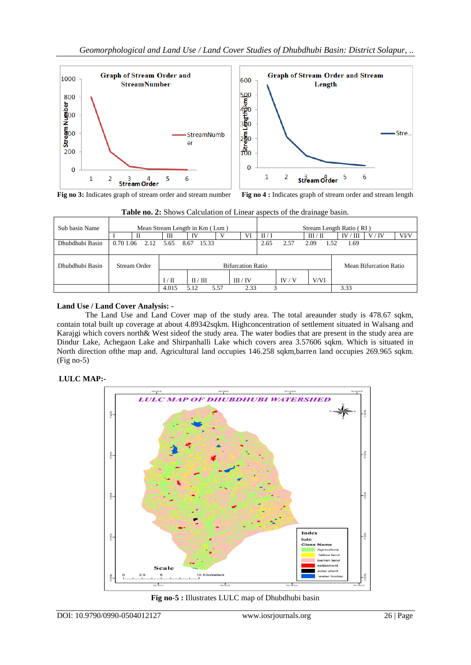

**Fig no 3:** Indicates graph of stream order and stream number **Fig no 4 :** Indicates graph of stream order and stream length

| Sub basin Name  |              | Mean Stream Length in Km (Lsm) |                          |               |      |        | Stream Length Ratio (RI) |      |                        |          |        |      |
|-----------------|--------------|--------------------------------|--------------------------|---------------|------|--------|--------------------------|------|------------------------|----------|--------|------|
|                 |              |                                | Ш                        | IV            |      | VI     | II/I                     |      | $\text{III}/\text{II}$ | IV/<br>Ш | V / IV | VI/V |
| Dhubdhubi Basin | 0.70 1.06    | 2.12                           | 5.65                     | 15.33<br>8.67 |      |        | 2.65                     | 2.57 | 2.09<br>1.52           | 1.69     |        |      |
|                 |              |                                |                          |               |      |        |                          |      |                        |          |        |      |
| Dhubdhubi Basin | Stream Order |                                | <b>Bifurcation Ratio</b> |               |      |        | Mean Bifurcation Ratio   |      |                        |          |        |      |
|                 |              |                                | I / II                   | $\rm II/H$    |      | III/IV |                          | IV/V | V/VI                   |          |        |      |
|                 |              |                                | 4.015                    | 5.12          | 5.57 | 2.33   |                          |      |                        | 3.33     |        |      |

**Table no. 2:** Shows Calculation of Linear aspects of the drainage basin.

# **Land Use / Land Cover Analysis: -**

The Land Use and Land Cover map of the study area. The total areaunder study is 478.67 sqkm, contain total built up coverage at about 4.89342sqkm. Highconcentration of settlement situated in Walsang and Karajgi which covers north& West sideof the study area. The water bodies that are present in the study area are Dindur Lake, Achegaon Lake and Shirpanhalli Lake which covers area 3.57606 sqkm. Which is situated in North direction ofthe map and. Agricultural land occupies 146.258 sqkm,barren land occupies 269.965 sqkm. (Fig no-5)

# **LULC MAP:-**



**Fig no-5 :** Illustrates LULC map of Dhubdhubi basin